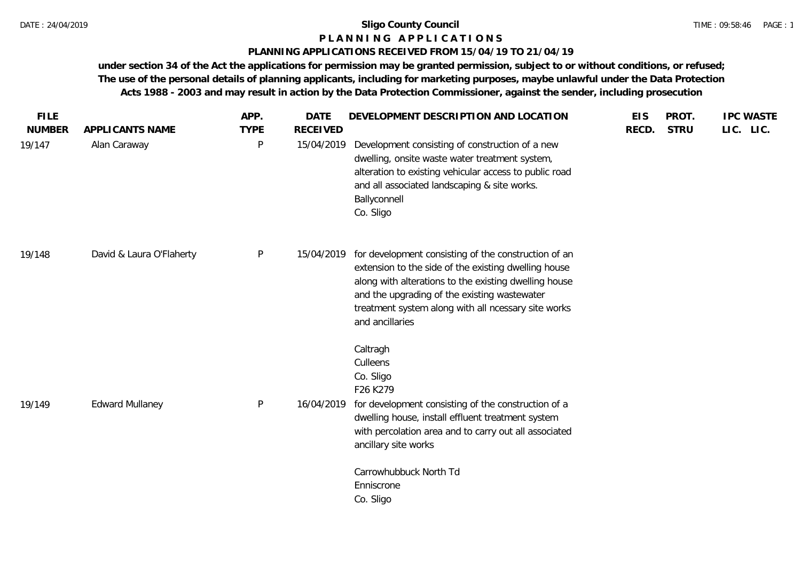#### **P L A N N I N G A P P L I C A T I O N S**

### **PLANNING APPLICATIONS RECEIVED FROM 15/04/19 TO 21/04/19**

**under section 34 of the Act the applications for permission may be granted permission, subject to or without conditions, or refused; The use of the personal details of planning applicants, including for marketing purposes, maybe unlawful under the Data Protection Acts 1988 - 2003 and may result in action by the Data Protection Commissioner, against the sender, including prosecution**

| <b>FILE</b>   |                          | APP.        | <b>DATE</b>     | DEVELOPMENT DESCRIPTION AND LOCATION                                                                                                                                                                                                                                                            | <b>EIS</b> | PROT.       | <b>IPC WASTE</b> |
|---------------|--------------------------|-------------|-----------------|-------------------------------------------------------------------------------------------------------------------------------------------------------------------------------------------------------------------------------------------------------------------------------------------------|------------|-------------|------------------|
| <b>NUMBER</b> | APPLICANTS NAME          | <b>TYPE</b> | <b>RECEIVED</b> |                                                                                                                                                                                                                                                                                                 | RECD.      | <b>STRU</b> | LIC. LIC.        |
| 19/147        | Alan Caraway             | P           | 15/04/2019      | Development consisting of construction of a new<br>dwelling, onsite waste water treatment system,<br>alteration to existing vehicular access to public road<br>and all associated landscaping & site works.<br>Ballyconnell<br>Co. Sligo                                                        |            |             |                  |
| 19/148        | David & Laura O'Flaherty | P           | 15/04/2019      | for development consisting of the construction of an<br>extension to the side of the existing dwelling house<br>along with alterations to the existing dwelling house<br>and the upgrading of the existing wastewater<br>treatment system along with all ncessary site works<br>and ancillaries |            |             |                  |
| 19/149        | <b>Edward Mullaney</b>   | P           | 16/04/2019      | Caltragh<br>Culleens<br>Co. Sligo<br>F26 K279<br>for development consisting of the construction of a<br>dwelling house, install effluent treatment system<br>with percolation area and to carry out all associated<br>ancillary site works                                                      |            |             |                  |
|               |                          |             |                 | Carrowhubbuck North Td<br>Enniscrone<br>Co. Sligo                                                                                                                                                                                                                                               |            |             |                  |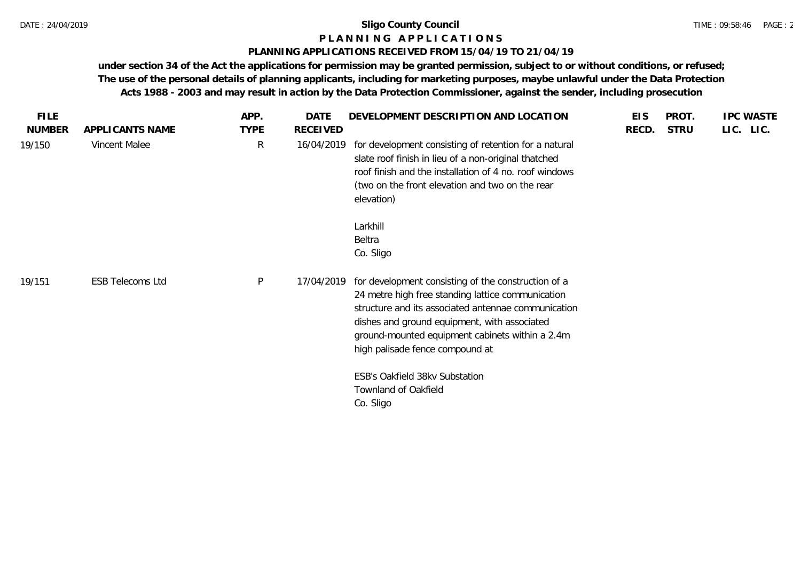#### **P L A N N I N G A P P L I C A T I O N S**

#### **PLANNING APPLICATIONS RECEIVED FROM 15/04/19 TO 21/04/19**

**under section 34 of the Act the applications for permission may be granted permission, subject to or without conditions, or refused; The use of the personal details of planning applicants, including for marketing purposes, maybe unlawful under the Data Protection Acts 1988 - 2003 and may result in action by the Data Protection Commissioner, against the sender, including prosecution**

| <b>FILE</b>   |                         | APP.         | DATE            | DEVELOPMENT DESCRIPTION AND LOCATION                                                                                                                                                                                                                                                                  | <b>EIS</b> | PROT.       | <b>IPC WASTE</b> |
|---------------|-------------------------|--------------|-----------------|-------------------------------------------------------------------------------------------------------------------------------------------------------------------------------------------------------------------------------------------------------------------------------------------------------|------------|-------------|------------------|
| <b>NUMBER</b> | APPLICANTS NAME         | <b>TYPE</b>  | <b>RECEIVED</b> |                                                                                                                                                                                                                                                                                                       | RECD.      | <b>STRU</b> | LIC. LIC.        |
| 19/150        | Vincent Malee           | $\mathsf{R}$ | 16/04/2019      | for development consisting of retention for a natural<br>slate roof finish in lieu of a non-original thatched<br>roof finish and the installation of 4 no. roof windows<br>(two on the front elevation and two on the rear<br>elevation)                                                              |            |             |                  |
|               |                         |              |                 | Larkhill<br>Beltra<br>Co. Sligo                                                                                                                                                                                                                                                                       |            |             |                  |
| 19/151        | <b>ESB Telecoms Ltd</b> | $\sf P$      | 17/04/2019      | for development consisting of the construction of a<br>24 metre high free standing lattice communication<br>structure and its associated antennae communication<br>dishes and ground equipment, with associated<br>ground-mounted equipment cabinets within a 2.4m<br>high palisade fence compound at |            |             |                  |
|               |                         |              |                 | ESB's Oakfield 38kv Substation<br>Townland of Oakfield<br>Co. Sligo                                                                                                                                                                                                                                   |            |             |                  |
|               |                         |              |                 |                                                                                                                                                                                                                                                                                                       |            |             |                  |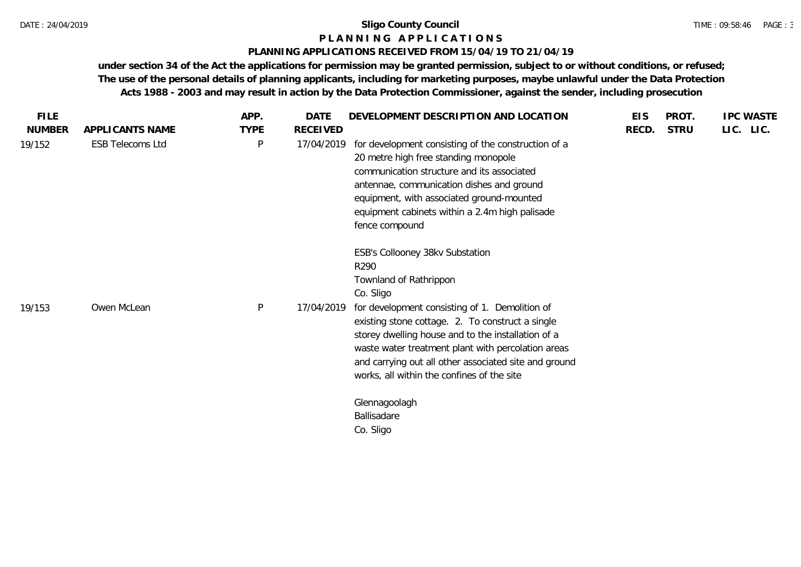#### **P L A N N I N G A P P L I C A T I O N S**

#### **PLANNING APPLICATIONS RECEIVED FROM 15/04/19 TO 21/04/19**

**under section 34 of the Act the applications for permission may be granted permission, subject to or without conditions, or refused; The use of the personal details of planning applicants, including for marketing purposes, maybe unlawful under the Data Protection Acts 1988 - 2003 and may result in action by the Data Protection Commissioner, against the sender, including prosecution**

| <b>FILE</b>   |                         | APP.        | <b>DATE</b> | DEVELOPMENT DESCRIPTION AND LOCATION                                                                                                                                                                                                                                                                                                                                                                    | <b>EIS</b> | PROT.       | <b>IPC WASTE</b> |
|---------------|-------------------------|-------------|-------------|---------------------------------------------------------------------------------------------------------------------------------------------------------------------------------------------------------------------------------------------------------------------------------------------------------------------------------------------------------------------------------------------------------|------------|-------------|------------------|
| <b>NUMBER</b> | APPLICANTS NAME         | <b>TYPE</b> | RECEIVED    |                                                                                                                                                                                                                                                                                                                                                                                                         | RECD.      | <b>STRU</b> | LIC. LIC.        |
| 19/152        | <b>ESB Telecoms Ltd</b> | P           | 17/04/2019  | for development consisting of the construction of a<br>20 metre high free standing monopole<br>communication structure and its associated<br>antennae, communication dishes and ground<br>equipment, with associated ground-mounted<br>equipment cabinets within a 2.4m high palisade<br>fence compound                                                                                                 |            |             |                  |
| 19/153        | Owen McLean             | P           | 17/04/2019  | ESB's Collooney 38kv Substation<br>R290<br>Townland of Rathrippon<br>Co. Sligo<br>for development consisting of 1. Demolition of<br>existing stone cottage. 2. To construct a single<br>storey dwelling house and to the installation of a<br>waste water treatment plant with percolation areas<br>and carrying out all other associated site and ground<br>works, all within the confines of the site |            |             |                  |
|               |                         |             |             | Glennagoolagh<br>Ballisadare<br>Co. Sligo                                                                                                                                                                                                                                                                                                                                                               |            |             |                  |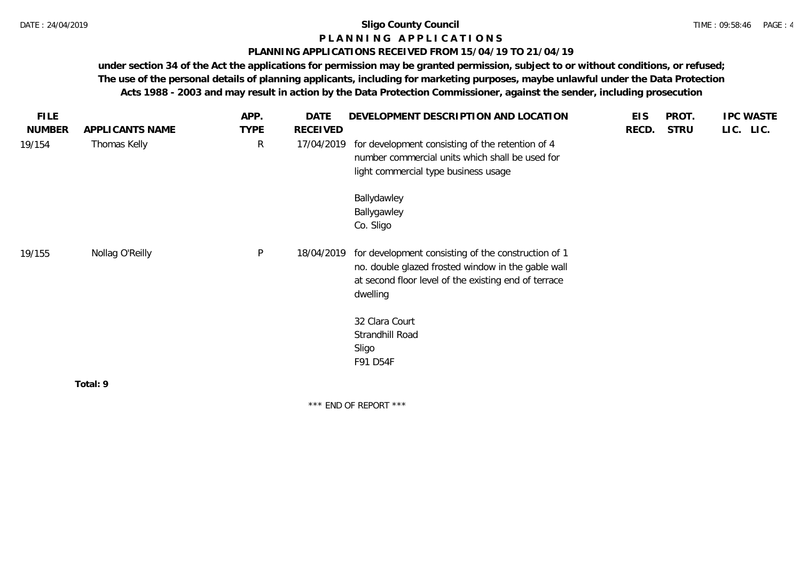## **P L A N N I N G A P P L I C A T I O N S**

#### **PLANNING APPLICATIONS RECEIVED FROM 15/04/19 TO 21/04/19**

**under section 34 of the Act the applications for permission may be granted permission, subject to or without conditions, or refused; The use of the personal details of planning applicants, including for marketing purposes, maybe unlawful under the Data Protection Acts 1988 - 2003 and may result in action by the Data Protection Commissioner, against the sender, including prosecution**

| <b>FILE</b>   |                 | APP.        | <b>DATE</b>     | DEVELOPMENT DESCRIPTION AND LOCATION                                                                                                                                          | <b>EIS</b> | PROT.       | <b>IPC WASTE</b> |
|---------------|-----------------|-------------|-----------------|-------------------------------------------------------------------------------------------------------------------------------------------------------------------------------|------------|-------------|------------------|
| <b>NUMBER</b> | APPLICANTS NAME | <b>TYPE</b> | <b>RECEIVED</b> |                                                                                                                                                                               | RECD.      | <b>STRU</b> | LIC. LIC.        |
| 19/154        | Thomas Kelly    | R           | 17/04/2019      | for development consisting of the retention of 4<br>number commercial units which shall be used for<br>light commercial type business usage                                   |            |             |                  |
|               |                 |             |                 | Ballydawley<br>Ballygawley<br>Co. Sligo                                                                                                                                       |            |             |                  |
| 19/155        | Nollag O'Reilly | P           | 18/04/2019      | for development consisting of the construction of 1<br>no. double glazed frosted window in the gable wall<br>at second floor level of the existing end of terrace<br>dwelling |            |             |                  |
|               |                 |             |                 | 32 Clara Court<br>Strandhill Road                                                                                                                                             |            |             |                  |
|               |                 |             |                 | Sligo<br>F91 D54F                                                                                                                                                             |            |             |                  |
|               | Total: 9        |             |                 |                                                                                                                                                                               |            |             |                  |
|               |                 |             |                 |                                                                                                                                                                               |            |             |                  |

\*\*\* END OF REPORT \*\*\*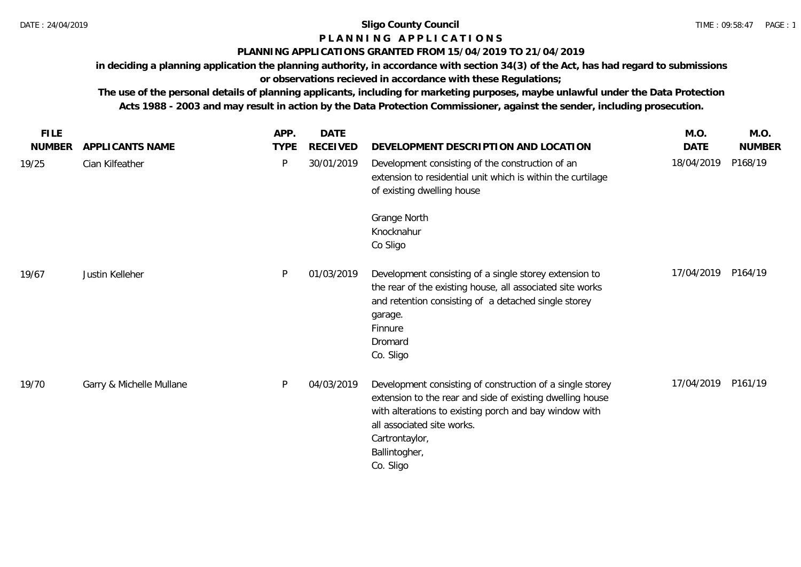# **P L A N N I N G A P P L I C A T I O N S**

## **PLANNING APPLICATIONS GRANTED FROM 15/04/2019 TO 21/04/2019**

**in deciding a planning application the planning authority, in accordance with section 34(3) of the Act, has had regard to submissions or observations recieved in accordance with these Regulations;**

**The use of the personal details of planning applicants, including for marketing purposes, maybe unlawful under the Data Protection Acts 1988 - 2003 and may result in action by the Data Protection Commissioner, against the sender, including prosecution.**

| <b>FILE</b>   |                          | APP.        | <b>DATE</b> |                                                                                                                                                                                                                                                                | M.O.        | M.O.          |
|---------------|--------------------------|-------------|-------------|----------------------------------------------------------------------------------------------------------------------------------------------------------------------------------------------------------------------------------------------------------------|-------------|---------------|
| <b>NUMBER</b> | APPLICANTS NAME          | <b>TYPE</b> | RECEIVED    | DEVELOPMENT DESCRIPTION AND LOCATION                                                                                                                                                                                                                           | <b>DATE</b> | <b>NUMBER</b> |
| 19/25         | Cian Kilfeather          | P           | 30/01/2019  | Development consisting of the construction of an<br>extension to residential unit which is within the curtilage<br>of existing dwelling house                                                                                                                  | 18/04/2019  | P168/19       |
|               |                          |             |             | Grange North<br>Knocknahur<br>Co Sligo                                                                                                                                                                                                                         |             |               |
| 19/67         | Justin Kelleher          | P           | 01/03/2019  | Development consisting of a single storey extension to<br>the rear of the existing house, all associated site works<br>and retention consisting of a detached single storey<br>garage.<br>Finnure<br>Dromard<br>Co. Sligo                                      | 17/04/2019  | P164/19       |
| 19/70         | Garry & Michelle Mullane | P           | 04/03/2019  | Development consisting of construction of a single storey<br>extension to the rear and side of existing dwelling house<br>with alterations to existing porch and bay window with<br>all associated site works.<br>Cartrontaylor,<br>Ballintogher,<br>Co. Sligo | 17/04/2019  | P161/19       |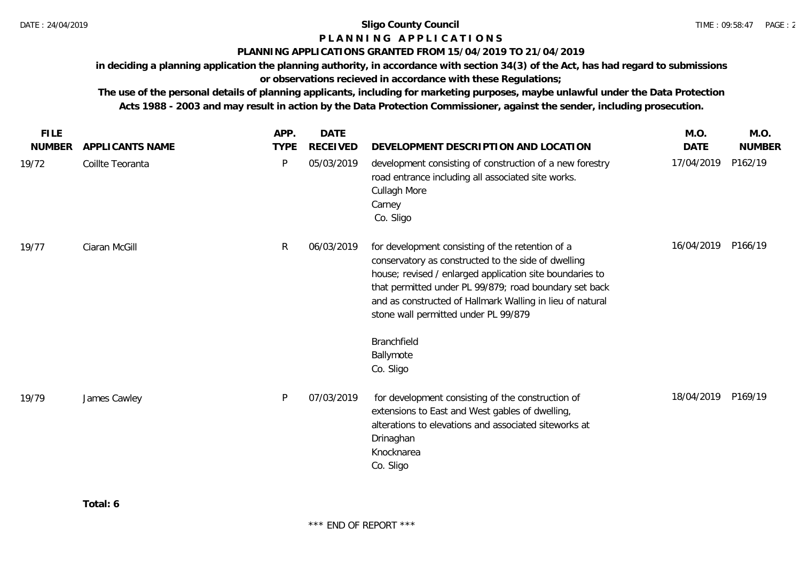## **P L A N N I N G A P P L I C A T I O N S**

#### **PLANNING APPLICATIONS GRANTED FROM 15/04/2019 TO 21/04/2019**

**in deciding a planning application the planning authority, in accordance with section 34(3) of the Act, has had regard to submissions or observations recieved in accordance with these Regulations;**

**The use of the personal details of planning applicants, including for marketing purposes, maybe unlawful under the Data Protection Acts 1988 - 2003 and may result in action by the Data Protection Commissioner, against the sender, including prosecution.**

| <b>FILE</b>   |                  | APP.        | <b>DATE</b>     |                                                                                                                                                                                                                                                                                                                                                   | M.O.               | M.O.          |
|---------------|------------------|-------------|-----------------|---------------------------------------------------------------------------------------------------------------------------------------------------------------------------------------------------------------------------------------------------------------------------------------------------------------------------------------------------|--------------------|---------------|
| <b>NUMBER</b> | APPLICANTS NAME  | <b>TYPE</b> | <b>RECEIVED</b> | DEVELOPMENT DESCRIPTION AND LOCATION                                                                                                                                                                                                                                                                                                              | <b>DATE</b>        | <b>NUMBER</b> |
| 19/72         | Coillte Teoranta | P           | 05/03/2019      | development consisting of construction of a new forestry<br>road entrance including all associated site works.<br>Cullagh More<br>Carney<br>Co. Sligo                                                                                                                                                                                             | 17/04/2019         | P162/19       |
| 19/77         | Ciaran McGill    | R           | 06/03/2019      | for development consisting of the retention of a<br>conservatory as constructed to the side of dwelling<br>house; revised / enlarged application site boundaries to<br>that permitted under PL 99/879; road boundary set back<br>and as constructed of Hallmark Walling in lieu of natural<br>stone wall permitted under PL 99/879<br>Branchfield | 16/04/2019         | P166/19       |
|               |                  |             |                 | Ballymote<br>Co. Sligo                                                                                                                                                                                                                                                                                                                            |                    |               |
| 19/79         | James Cawley     | P           | 07/03/2019      | for development consisting of the construction of<br>extensions to East and West gables of dwelling,<br>alterations to elevations and associated siteworks at<br>Drinaghan<br>Knocknarea<br>Co. Sligo                                                                                                                                             | 18/04/2019 P169/19 |               |
|               |                  |             |                 |                                                                                                                                                                                                                                                                                                                                                   |                    |               |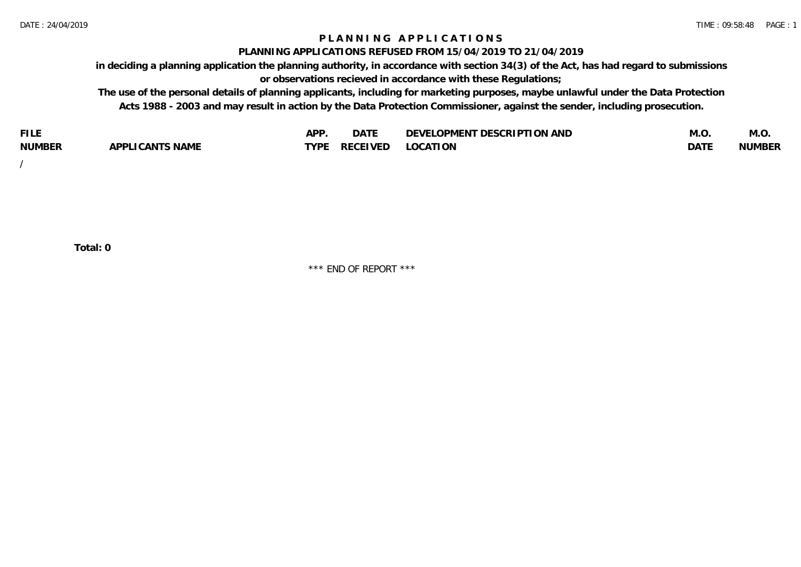## **P L A N N I N G A P P L I C A T I O N S**

#### **PLANNING APPLICATIONS REFUSED FROM 15/04/2019 TO 21/04/2019**

**in deciding a planning application the planning authority, in accordance with section 34(3) of the Act, has had regard to submissions or observations recieved in accordance with these Regulations;**

**The use of the personal details of planning applicants, including for marketing purposes, maybe unlawful under the Data Protection Acts 1988 - 2003 and may result in action by the Data Protection Commissioner, against the sender, including prosecution.**

| <b>FILE</b>   |                                                     | A DE | $\sim$ $\sim$ $\sim$<br>DA I | <b>ENT DESCRIPTION AND</b><br>$\cap$ nn.<br>)E\/F<br>. JIEN L<br>பட | IVI.U       | IVI.U         |
|---------------|-----------------------------------------------------|------|------------------------------|---------------------------------------------------------------------|-------------|---------------|
| <b>NUMBER</b> | <b>ANTS NAME</b><br>A DDI<br>$\sqrt{2}$<br>CAN<br>u | TVDL | ◡⊢                           | <b>OCATION</b>                                                      | <b>DATF</b> | <b>NUMBER</b> |

/

**Total: 0**

\*\*\* END OF REPORT \*\*\*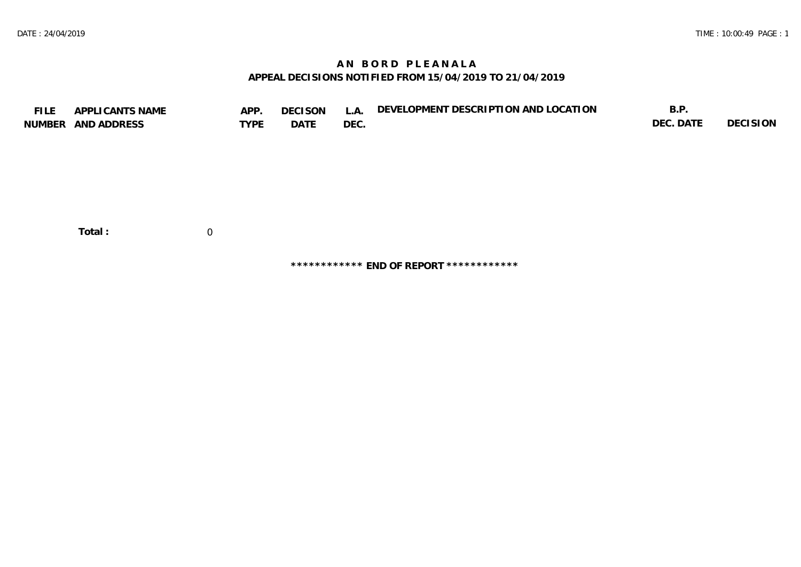## **A N B O R D P L E A N A L A APPEAL DECISIONS NOTIFIED FROM 15/04/2019 TO 21/04/2019**

| <b>FILE</b> | APPLICANTS NAME<br>NUMBER AND ADDRESS | APP.<br><b>TYPE</b> | <b>DECISON</b><br>DATE | L.A.<br>DEC. | DEVELOPMENT DESCRIPTION AND LOCATION | B.P.<br>DEC. DATE | <b>DECISION</b> |
|-------------|---------------------------------------|---------------------|------------------------|--------------|--------------------------------------|-------------------|-----------------|
|             | Total:                                | 0                   |                        |              |                                      |                   |                 |

**\*\*\*\*\*\*\*\*\*\*\*\* END OF REPORT \*\*\*\*\*\*\*\*\*\*\*\***